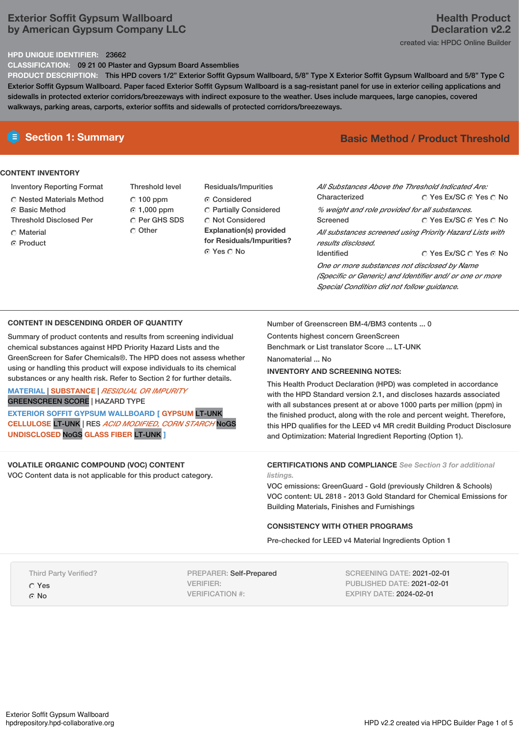# **Exterior Soffit Gypsum Wallboard by American Gypsum Company LLC**

# **Health Product Declaration v2.2** created via: HPDC Online Builder

## **HPD UNIQUE IDENTIFIER:** 23662

**CLASSIFICATION:** 09 21 00 Plaster and Gypsum Board Assemblies

**PRODUCT DESCRIPTION:** This HPD covers 1/2" Exterior Soffit Gypsum Wallboard, 5/8" Type X Exterior Soffit Gypsum Wallboard and 5/8" Type C Exterior Soffit Gypsum Wallboard. Paper faced Exterior Soffit Gypsum Wallboard is a sag-resistant panel for use in exterior ceiling applications and sidewalls in protected exterior corridors/breezeways with indirect exposure to the weather. Uses include marquees, large canopies, covered walkways, parking areas, carports, exterior soffits and sidewalls of protected corridors/breezeways.

## **CONTENT INVENTORY**

- Inventory Reporting Format
- $\bigcirc$  Nested Materials Method
- **G** Basic Method
- Threshold Disclosed Per
- **C** Material
- ⊙ Product
- Threshold level  $C$  100 ppm 1,000 ppm C Per GHS SDS C Other
- Residuals/Impurities Considered **C** Partially Considered C Not Considered **Explanation(s) provided for Residuals/Impurities?** ⊙ Yes O No

# **E** Section 1: Summary **Basic Method /** Product Threshold

© Yes Ex/SC ⊙ Yes O No © Yes Ex/SC ⊙ Yes ⊙ No © Yes Ex/SC © Yes © No *All Substances Above the Threshold Indicated Are:* **Characterized** *% weight and role provided for all substances.* Screened *All substances screened using Priority Hazard Lists with results disclosed.* Identified *One or more substances not disclosed by Name (Specific or Generic) and Identifier and/ or one or more Special Condition did not follow guidance.*

### **CONTENT IN DESCENDING ORDER OF QUANTITY**

Summary of product contents and results from screening individual chemical substances against HPD Priority Hazard Lists and the GreenScreen for Safer Chemicals®. The HPD does not assess whether using or handling this product will expose individuals to its chemical substances or any health risk. Refer to Section 2 for further details.

## **MATERIAL** | **SUBSTANCE** | *RESIDUAL OR IMPURITY* GREENSCREEN SCORE | HAZARD TYPE

**EXTERIOR SOFFIT GYPSUM WALLBOARD [ GYPSUM** LT-UNK **CELLULOSE** LT-UNK | RES *ACID MODIFIED, CORN STARCH* NoGS **UNDISCLOSED** NoGS **GLASS FIBER** LT-UNK **]**

## **VOLATILE ORGANIC COMPOUND (VOC) CONTENT**

VOC Content data is not applicable for this product category.

Number of Greenscreen BM-4/BM3 contents ... 0

Contents highest concern GreenScreen

Benchmark or List translator Score ... LT-UNK Nanomaterial ... No

**INVENTORY AND SCREENING NOTES:**

This Health Product Declaration (HPD) was completed in accordance with the HPD Standard version 2.1, and discloses hazards associated with all substances present at or above 1000 parts per million (ppm) in the finished product, along with the role and percent weight. Therefore, this HPD qualifies for the LEED v4 MR credit Building Product Disclosure and Optimization: Material Ingredient Reporting (Option 1).

### **CERTIFICATIONS AND COMPLIANCE** *See Section 3 for additional listings.*

VOC emissions: GreenGuard - Gold (previously Children & Schools) VOC content: UL 2818 - 2013 Gold Standard for Chemical Emissions for Building Materials, Finishes and Furnishings

## **CONSISTENCY WITH OTHER PROGRAMS**

Pre-checked for LEED v4 Material Ingredients Option 1

Third Party Verified?

Yes

G No

PREPARER: Self-Prepared VERIFIER: VERIFICATION #:

SCREENING DATE: 2021-02-01 PUBLISHED DATE: 2021-02-01 EXPIRY DATE: 2024-02-01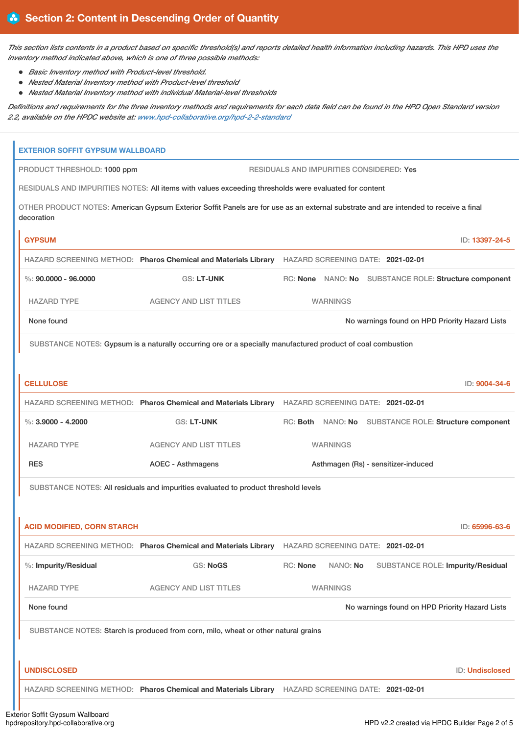This section lists contents in a product based on specific threshold(s) and reports detailed health information including hazards. This HPD uses the *inventory method indicated above, which is one of three possible methods:*

- *Basic Inventory method with Product-level threshold.*
- *Nested Material Inventory method with Product-level threshold*
- *Nested Material Inventory method with individual Material-level thresholds*

Definitions and requirements for the three inventory methods and requirements for each data field can be found in the HPD Open Standard version *2.2, available on the HPDC website at: [www.hpd-collaborative.org/hpd-2-2-standard](https://www.hpd-collaborative.org/hpd-2-2-standard)*

| <b>EXTERIOR SOFFIT GYPSUM WALLBOARD</b>                                                                                                            |                                                                                                  |                                     |  |  |                                                       |  |  |
|----------------------------------------------------------------------------------------------------------------------------------------------------|--------------------------------------------------------------------------------------------------|-------------------------------------|--|--|-------------------------------------------------------|--|--|
| PRODUCT THRESHOLD: 1000 ppm                                                                                                                        | <b>RESIDUALS AND IMPURITIES CONSIDERED: Yes</b>                                                  |                                     |  |  |                                                       |  |  |
| RESIDUALS AND IMPURITIES NOTES: All items with values exceeding thresholds were evaluated for content                                              |                                                                                                  |                                     |  |  |                                                       |  |  |
| OTHER PRODUCT NOTES: American Gypsum Exterior Soffit Panels are for use as an external substrate and are intended to receive a final<br>decoration |                                                                                                  |                                     |  |  |                                                       |  |  |
| <b>GYPSUM</b>                                                                                                                                      |                                                                                                  |                                     |  |  | ID: 13397-24-5                                        |  |  |
|                                                                                                                                                    | HAZARD SCREENING METHOD: Pharos Chemical and Materials Library HAZARD SCREENING DATE: 2021-02-01 |                                     |  |  |                                                       |  |  |
| $\%$ : 90.0000 - 96.0000                                                                                                                           | <b>GS: LT-UNK</b>                                                                                |                                     |  |  | RC: None NANO: No SUBSTANCE ROLE: Structure component |  |  |
| <b>HAZARD TYPE</b>                                                                                                                                 | <b>AGENCY AND LIST TITLES</b>                                                                    | <b>WARNINGS</b>                     |  |  |                                                       |  |  |
| None found                                                                                                                                         |                                                                                                  |                                     |  |  | No warnings found on HPD Priority Hazard Lists        |  |  |
| SUBSTANCE NOTES: Gypsum is a naturally occurring ore or a specially manufactured product of coal combustion                                        |                                                                                                  |                                     |  |  |                                                       |  |  |
|                                                                                                                                                    |                                                                                                  |                                     |  |  |                                                       |  |  |
| <b>CELLULOSE</b>                                                                                                                                   |                                                                                                  |                                     |  |  | ID: 9004-34-6                                         |  |  |
|                                                                                                                                                    | HAZARD SCREENING METHOD: Pharos Chemical and Materials Library HAZARD SCREENING DATE: 2021-02-01 |                                     |  |  |                                                       |  |  |
| %: $3,9000 - 4,2000$                                                                                                                               | <b>GS: LT-UNK</b>                                                                                |                                     |  |  | RC: Both NANO: No SUBSTANCE ROLE: Structure component |  |  |
| <b>HAZARD TYPE</b>                                                                                                                                 | <b>AGENCY AND LIST TITLES</b>                                                                    | <b>WARNINGS</b>                     |  |  |                                                       |  |  |
| <b>RES</b>                                                                                                                                         | <b>AOEC - Asthmagens</b>                                                                         | Asthmagen (Rs) - sensitizer-induced |  |  |                                                       |  |  |
| SUBSTANCE NOTES: All residuals and impurities evaluated to product threshold levels                                                                |                                                                                                  |                                     |  |  |                                                       |  |  |
|                                                                                                                                                    |                                                                                                  |                                     |  |  |                                                       |  |  |
| <b>ACID MODIFIED, CORN STARCH</b>                                                                                                                  |                                                                                                  |                                     |  |  | ID: 65996-63-6                                        |  |  |
|                                                                                                                                                    | HAZARD SCREENING METHOD: Pharos Chemical and Materials Library                                   | HAZARD SCREENING DATE: 2021-02-01   |  |  |                                                       |  |  |
| %: Impurity/Residual                                                                                                                               | <b>GS: NoGS</b>                                                                                  | RC: None<br>NANO: No                |  |  | <b>SUBSTANCE ROLE: Impurity/Residual</b>              |  |  |
| <b>HAZARD TYPE</b>                                                                                                                                 | <b>AGENCY AND LIST TITLES</b>                                                                    | <b>WARNINGS</b>                     |  |  |                                                       |  |  |
| None found                                                                                                                                         |                                                                                                  |                                     |  |  | No warnings found on HPD Priority Hazard Lists        |  |  |
| SUBSTANCE NOTES: Starch is produced from corn, milo, wheat or other natural grains                                                                 |                                                                                                  |                                     |  |  |                                                       |  |  |
|                                                                                                                                                    |                                                                                                  |                                     |  |  |                                                       |  |  |
| <b>UNDISCLOSED</b>                                                                                                                                 |                                                                                                  |                                     |  |  | ID: Undisclosed                                       |  |  |
|                                                                                                                                                    | HAZARD SCREENING METHOD: Pharos Chemical and Materials Library HAZARD SCREENING DATE: 2021-02-01 |                                     |  |  |                                                       |  |  |
|                                                                                                                                                    |                                                                                                  |                                     |  |  |                                                       |  |  |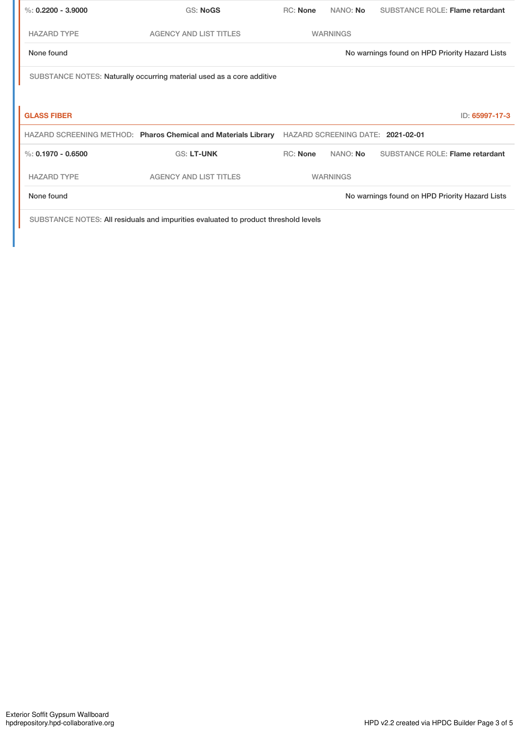| %: $0.2200 - 3.9000$                                                  | GS: NoGS                                                       | RC: None        | NANO: No        | <b>SUBSTANCE ROLE: Flame retardant</b>         |  |  |
|-----------------------------------------------------------------------|----------------------------------------------------------------|-----------------|-----------------|------------------------------------------------|--|--|
| <b>HAZARD TYPE</b>                                                    | <b>AGENCY AND LIST TITLES</b>                                  |                 | <b>WARNINGS</b> |                                                |  |  |
| None found                                                            |                                                                |                 |                 | No warnings found on HPD Priority Hazard Lists |  |  |
| SUBSTANCE NOTES: Naturally occurring material used as a core additive |                                                                |                 |                 |                                                |  |  |
|                                                                       |                                                                |                 |                 |                                                |  |  |
| <b>GLASS FIBER</b>                                                    |                                                                |                 |                 | ID: 65997-17-3                                 |  |  |
|                                                                       | HAZARD SCREENING METHOD: Pharos Chemical and Materials Library |                 |                 | HAZARD SCREENING DATE: 2021-02-01              |  |  |
| $\%: 0.1970 - 0.6500$                                                 | <b>GS: LT-UNK</b>                                              | <b>RC: None</b> | NANO: No        | <b>SUBSTANCE ROLE: Flame retardant</b>         |  |  |
| <b>HAZARD TYPE</b>                                                    | <b>AGENCY AND LIST TITLES</b>                                  |                 | <b>WARNINGS</b> |                                                |  |  |
| None found                                                            |                                                                |                 |                 | No warnings found on HPD Priority Hazard Lists |  |  |

SUBSTANCE NOTES: All residuals and impurities evaluated to product threshold levels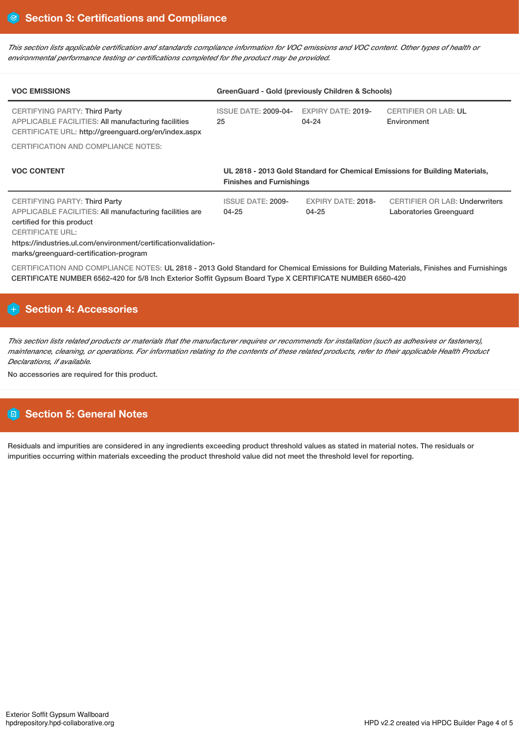This section lists applicable certification and standards compliance information for VOC emissions and VOC content. Other types of health or *environmental performance testing or certifications completed for the product may be provided.*

| <b>VOC EMISSIONS</b>                                                                                                                                                                                                                                                 | GreenGuard - Gold (previously Children & Schools)                                                              |                                        |                                                                  |  |  |
|----------------------------------------------------------------------------------------------------------------------------------------------------------------------------------------------------------------------------------------------------------------------|----------------------------------------------------------------------------------------------------------------|----------------------------------------|------------------------------------------------------------------|--|--|
| <b>CERTIFYING PARTY: Third Party</b><br><b>APPLICABLE FACILITIES: All manufacturing facilities</b><br>CERTIFICATE URL: http://greenguard.org/en/index.aspx                                                                                                           | <b>ISSUE DATE: 2009-04-</b><br>25                                                                              | <b>EXPIRY DATE: 2019-</b><br>$04 - 24$ | <b>CERTIFIER OR LAB: UL</b><br>Environment                       |  |  |
| CERTIFICATION AND COMPLIANCE NOTES:                                                                                                                                                                                                                                  |                                                                                                                |                                        |                                                                  |  |  |
| <b>VOC CONTENT</b>                                                                                                                                                                                                                                                   | UL 2818 - 2013 Gold Standard for Chemical Emissions for Building Materials,<br><b>Finishes and Furnishings</b> |                                        |                                                                  |  |  |
| <b>CERTIFYING PARTY: Third Party</b><br>APPLICABLE FACILITIES: All manufacturing facilities are<br>certified for this product<br><b>CERTIFICATE URL:</b><br>https://industries.ul.com/environment/certificationvalidation-<br>marks/greenguard-certification-program | <b>ISSUE DATE: 2009-</b><br>$04 - 25$                                                                          | <b>EXPIRY DATE: 2018-</b><br>$04 - 25$ | <b>CERTIFIER OR LAB: Underwriters</b><br>Laboratories Greenguard |  |  |
| CERTIFICATION AND COMPLIANCE NOTES: UL 2818 - 2013 Gold Standard for Chemical Emissions for Building Materials, Finishes and Furnishings                                                                                                                             |                                                                                                                |                                        |                                                                  |  |  |

# **Section 4: Accessories**

This section lists related products or materials that the manufacturer requires or recommends for installation (such as adhesives or fasteners), maintenance, cleaning, or operations. For information relating to the contents of these related products, refer to their applicable Health Product *Declarations, if available.*

CERTIFICATE NUMBER 6562-420 for 5/8 Inch Exterior Soffit Gypsum Board Type X CERTIFICATE NUMBER 6560-420

No accessories are required for this product.

# **Section 5: General Notes**

Residuals and impurities are considered in any ingredients exceeding product threshold values as stated in material notes. The residuals or impurities occurring within materials exceeding the product threshold value did not meet the threshold level for reporting.